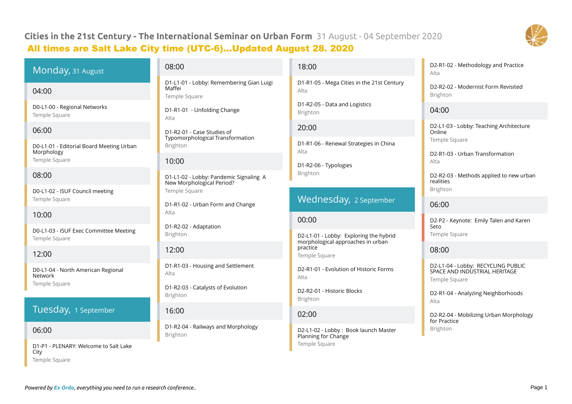# **Cities in the 21st Century - The International Seminar on Urban Form** 31 August - 04 September 2020 All times are Salt Lake City time (UTC-6)...Updated August 28. 2020



## Monday, 31 August

#### 04:00

D0-L1-00 - Regional Networks Temple Square

#### 06:00

D0-L1-01 - Editorial Board Meeting Urban Morphology Temple Square

### 08:00

D0-L1-02 - ISUF Council meeting Temple Square

## 10:00

D0-L1-03 - ISUF Exec Committee Meeting Temple Square

## 12:00

D0-L1-04 - North American Regional Network Temple Square

## Tuesday, 1 September

#### 06:00

D1-P1 - PLENARY: Welcome to Salt Lake City Temple Square

#### 08:00

D1-L1-01 - Lobby: Remembering Gian Luigi Maffei Temple Square

D1-R1-01 - Unfolding Change Alta

D1-R2-01 - Case Studies of Typomorphological Transformation Brighton

#### 10:00

D1-L1-02 - Lobby: Pandemic Signaling A New Morphological Period? Temple Square

D1-R1-02 - Urban Form and Change Alta

D1-R2-02 - Adaptation Brighton

### $12:00$

D1-R1-03 - Housing and Settlement Alta

D1-R2-03 - Catalysts of Evolution Brighton

#### 16:00

D1-R2-04 - Railways and Morphology Brighton

#### 18:00

D1-R1-05 - Mega Cities in the 21st Century Alta

D1-R2-05 - Data and Logistics Brighton

#### 20:00

D1-R1-06 - Renewal Strategies in China Alta

D1-R2-06 - Typologies Brighton

## Wednesday, 2 September

#### 00:00

D2-L1-01 - Lobby: Exploring the hybrid morphological approaches in urban practice Temple Square

D2-R1-01 - Evolution of Historic Forms Alta

D2-R2-01 - Historic Blocks Brighton

#### 02:00

D2-L1-02 - Lobby : Book launch Master Planning for Change Temple Square

#### D2-R1-02 - Methodology and Practice Alta

D2-R2-02 - Modernist Form Revisited Brighton

#### 04:00

D2-L1-03 - Lobby: Teaching Architecture Online Temple Square

D2-R1-03 - Urban Transformation Alta

D2-R2-03 - Methods applied to new urban realities Brighton

#### 06:00

D2-P2 - Keynote: Emily Talen and Karen Seto Temple Square

08:00

D2-L1-04 - Lobby: RECYCLING PUBLIC SPACE AND INDUSTRIAL HERITAGE Temple Square

D2-R1-04 - Analyzing Neighborhoods Alta

D2-R2-04 - Mobilizing Urban Morphology for Practice Brighton